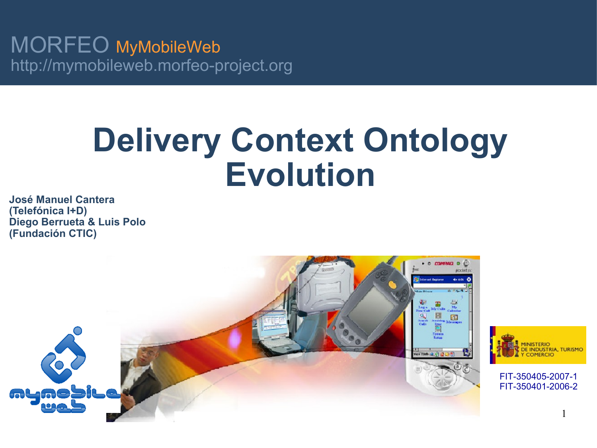MORFEO MyMobileWeb http://mymobileweb.morfeo-project.org

# **Delivery Context Ontology Evolution**

**José Manuel Cantera (Telefónica I+D) Diego Berrueta & Luis Polo (Fundación CTIC)**





FIT-350405-2007-1 FIT-350401-2006-2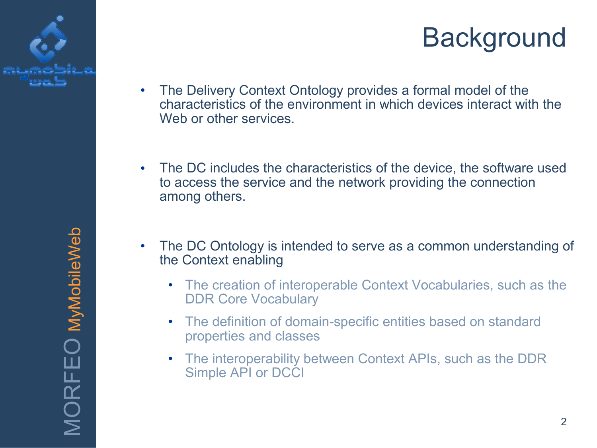



MORFEO MyMobileWeb MORFEO MyMobileWeb

- The Delivery Context Ontology provides a formal model of the characteristics of the environment in which devices interact with the Web or other services.
- The DC includes the characteristics of the device, the software used to access the service and the network providing the connection among others.
- The DC Ontology is intended to serve as a common understanding of the Context enabling
	- The creation of interoperable Context Vocabularies, such as the DDR Core Vocabulary
	- The definition of domain-specific entities based on standard properties and classes
	- The interoperability between Context APIs, such as the DDR Simple API or DCCI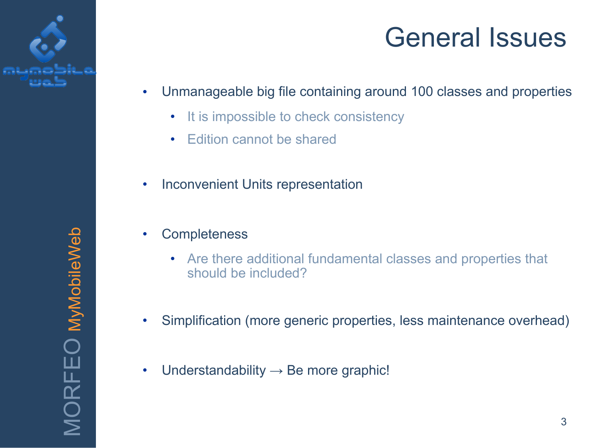

## General Issues

- Unmanageable big file containing around 100 classes and properties
	- It is impossible to check consistency
	- Edition cannot be shared
- Inconvenient Units representation
- **Completeness** 
	- Are there additional fundamental classes and properties that should be included?
- Simplification (more generic properties, less maintenance overhead)
- Understandability  $\rightarrow$  Be more graphic!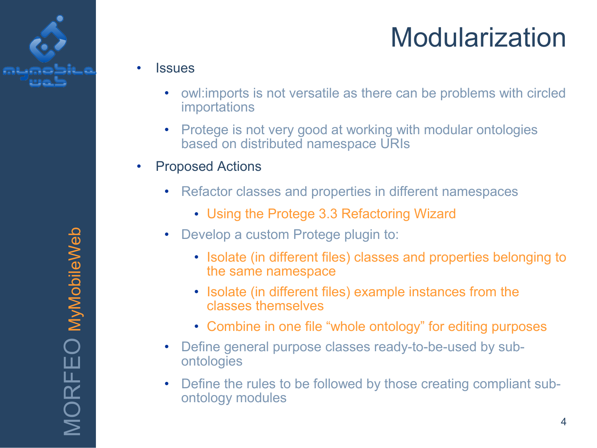

## Modularization

#### **Issues**

- owl:imports is not versatile as there can be problems with circled importations
- Protege is not very good at working with modular ontologies based on distributed namespace URIs
- Proposed Actions
	- Refactor classes and properties in different namespaces
		- Using the Protege 3.3 Refactoring Wizard
	- Develop a custom Protege plugin to:
		- Isolate (in different files) classes and properties belonging to the same namespace
		- Isolate (in different files) example instances from the classes themselves
		- Combine in one file "whole ontology" for editing purposes
	- Define general purpose classes ready-to-be-used by subontologies
	- Define the rules to be followed by those creating compliant subontology modules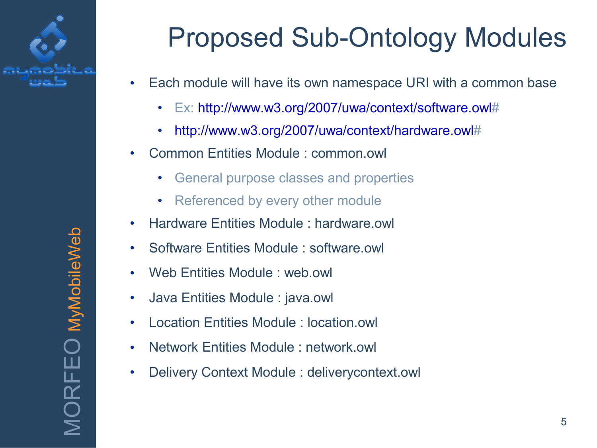

## Proposed Sub-Ontology Modules

- Each module will have its own namespace URI with a common base
	- Ex: [http://www.w3.org/2007/uwa/context/software.owl#](http://www.w3.org/2007/uwa/context/software.owl)
	- [http://www.w3.org/2007/uwa/context/hardware.owl#](http://www.w3.org/2007/uwa/context/hardware.owl)
- Common Entities Module : common.owl
	- General purpose classes and properties
	- Referenced by every other module
- Hardware Entities Module : hardware.owl
- Software Entities Module : software.owl
- Web Entities Module : web.owl
- Java Entities Module : java.owl
- Location Entities Module : location.owl
- Network Entities Module : network.owl
- Delivery Context Module : deliverycontext.owl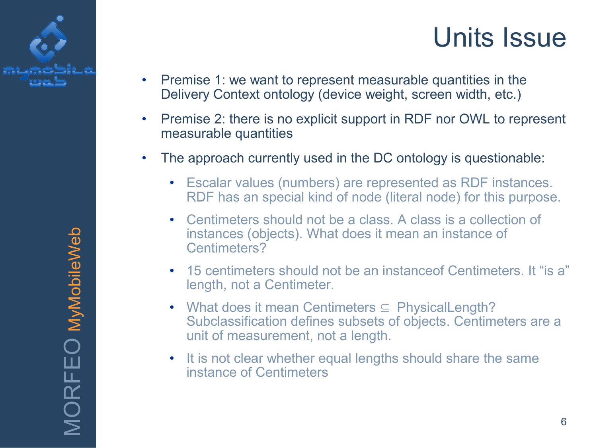

### Units Issue

- Premise 1: we want to represent measurable quantities in the Delivery Context ontology (device weight, screen width, etc.)
- Premise 2: there is no explicit support in RDF nor OWL to represent measurable quantities
- The approach currently used in the DC ontology is questionable:
	- Escalar values (numbers) are represented as RDF instances. RDF has an special kind of node (literal node) for this purpose.
	- Centimeters should not be a class. A class is a collection of instances (objects). What does it mean an instance of Centimeters?
	- 15 centimeters should not be an instanceof Centimeters. It "is a" length, not a Centimeter.
	- What does it mean Centimeters ⊆ PhysicalLength? Subclassification defines subsets of objects. Centimeters are a unit of measurement, not a length.
	- It is not clear whether equal lengths should share the same instance of Centimeters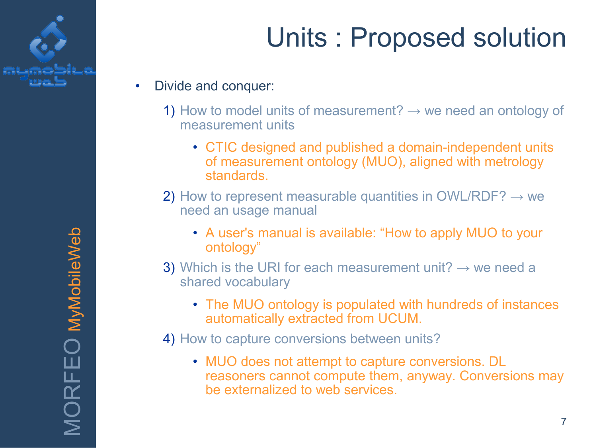

- Divide and conquer:
	- 1) How to model units of measurement?  $\rightarrow$  we need an ontology of measurement units
		- CTIC designed and published a domain-independent units of measurement ontology (MUO), aligned with metrology standards.
	- 2) How to represent measurable quantities in OWL/RDF?  $\rightarrow$  we need an usage manual
		- A user's manual is available: "How to apply MUO to your ontology"
	- 3) Which is the URI for each measurement unit?  $\rightarrow$  we need a shared vocabulary
		- The MUO ontology is populated with hundreds of instances automatically extracted from UCUM.
	- 4) How to capture conversions between units?
		- MUO does not attempt to capture conversions. DL reasoners cannot compute them, anyway. Conversions may be externalized to web services.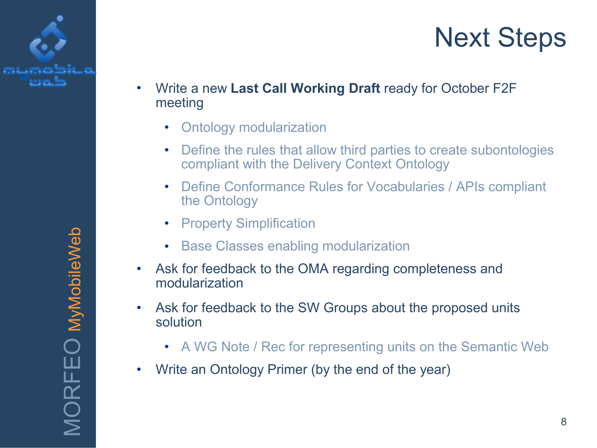



- Write a new **Last Call Working Draft** ready for October F2F meeting
	- Ontology modularization
	- Define the rules that allow third parties to create subontologies compliant with the Delivery Context Ontology
	- Define Conformance Rules for Vocabularies / APIs compliant the Ontology
	- **Property Simplification**
	- Base Classes enabling modularization
- Ask for feedback to the OMA regarding completeness and modularization
- Ask for feedback to the SW Groups about the proposed units solution
	- A WG Note / Rec for representing units on the Semantic Web
- Write an Ontology Primer (by the end of the year)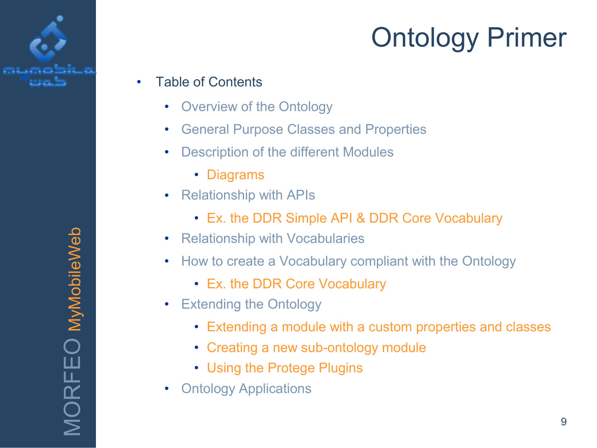

- Table of Contents
	- Overview of the Ontology
	- General Purpose Classes and Properties
	- Description of the different Modules
		- Diagrams
	- Relationship with APIs
		- Ex. the DDR Simple API & DDR Core Vocabulary
	- Relationship with Vocabularies
	- How to create a Vocabulary compliant with the Ontology
		- Ex. the DDR Core Vocabulary
	- Extending the Ontology
		- Extending a module with a custom properties and classes
		- Creating a new sub-ontology module
		- Using the Protege Plugins
	- **Ontology Applications**

MORFEO MyMobileWeb MORFEO MyMobileWeb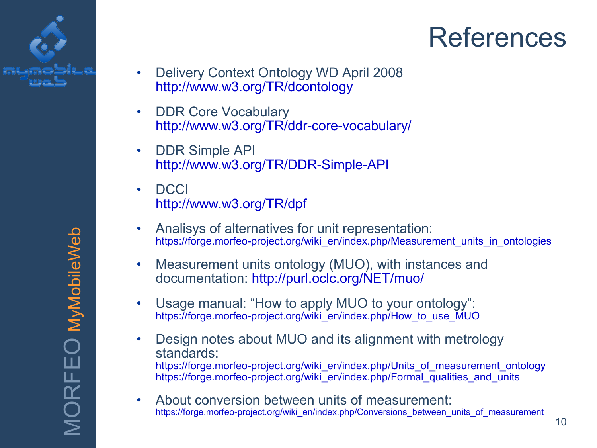

### References

- Delivery Context Ontology WD April 2008 <http://www.w3.org/TR/dcontology>
- DDR Core Vocabulary <http://www.w3.org/TR/ddr-core-vocabulary/>
- DDR Simple API <http://www.w3.org/TR/DDR-Simple-API>
- DCCI <http://www.w3.org/TR/dpf>
- Analisys of alternatives for unit representation: [https://forge.morfeo-project.org/wiki\\_en/index.php/Measurement\\_units\\_in\\_ontologies](https://forge.morfeo-project.org/wiki_en/index.php/Measurement_units_in_ontologies)
- Measurement units ontology (MUO), with instances and documentation:<http://purl.oclc.org/NET/muo/>
- Usage manual: "How to apply MUO to your ontology": [https://forge.morfeo-project.org/wiki\\_en/index.php/How\\_to\\_use\\_MUO](https://forge.morfeo-project.org/wiki_en/index.php/How_to_use_MUO)
- Design notes about MUO and its alignment with metrology standards: [https://forge.morfeo-project.org/wiki\\_en/index.php/Units\\_of\\_measurement\\_ontology](https://forge.morfeo-project.org/wiki_en/index.php/Units_of_measurement_ontology) [https://forge.morfeo-project.org/wiki\\_en/index.php/Formal\\_qualities\\_and\\_units](https://forge.morfeo-project.org/wiki_en/index.php/Formal_qualities_and_units)
- About conversion between units of measurement: [https://forge.morfeo-project.org/wiki\\_en/index.php/Conversions\\_between\\_units\\_of\\_measurement](https://forge.morfeo-project.org/wiki_en/index.php/Conversions_between_units_of_measurement)